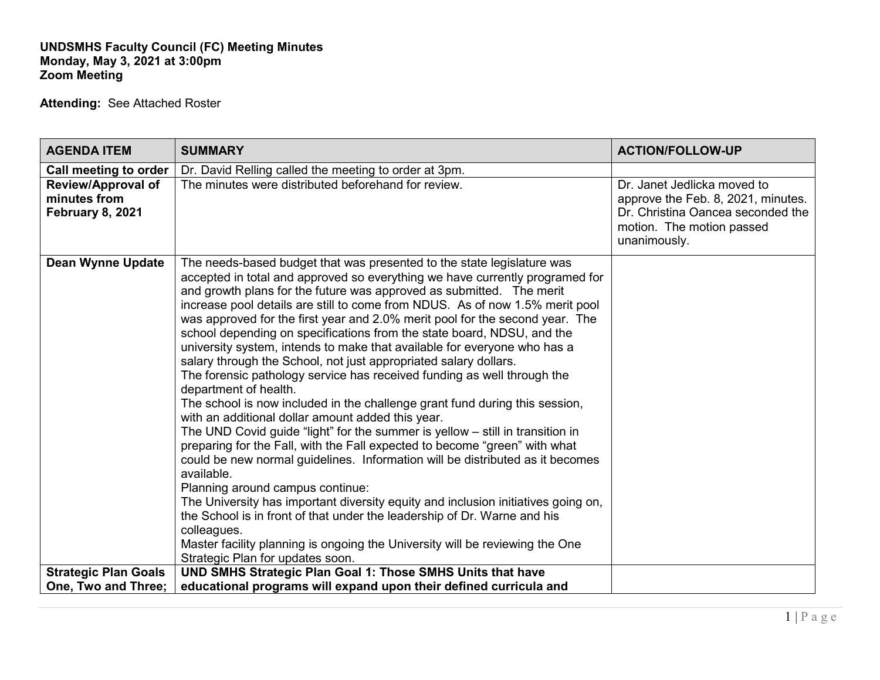## **UNDSMHS Faculty Council (FC) Meeting Minutes Monday, May 3, 2021 at 3:00pm Zoom Meeting**

**Attending:** See Attached Roster

| <b>AGENDA ITEM</b>                                            | <b>SUMMARY</b>                                                                                                                                                                                                                                                                                                                                                                                                                                                                                                                                                                                                                                                                                                                                                                                                                                                                                                                                                                                                                                                                                                                                                                                                                                                                                                                                                                                                                                                           | <b>ACTION/FOLLOW-UP</b>                                                                                                                             |
|---------------------------------------------------------------|--------------------------------------------------------------------------------------------------------------------------------------------------------------------------------------------------------------------------------------------------------------------------------------------------------------------------------------------------------------------------------------------------------------------------------------------------------------------------------------------------------------------------------------------------------------------------------------------------------------------------------------------------------------------------------------------------------------------------------------------------------------------------------------------------------------------------------------------------------------------------------------------------------------------------------------------------------------------------------------------------------------------------------------------------------------------------------------------------------------------------------------------------------------------------------------------------------------------------------------------------------------------------------------------------------------------------------------------------------------------------------------------------------------------------------------------------------------------------|-----------------------------------------------------------------------------------------------------------------------------------------------------|
| Call meeting to order                                         | Dr. David Relling called the meeting to order at 3pm.                                                                                                                                                                                                                                                                                                                                                                                                                                                                                                                                                                                                                                                                                                                                                                                                                                                                                                                                                                                                                                                                                                                                                                                                                                                                                                                                                                                                                    |                                                                                                                                                     |
| <b>Review/Approval of</b><br>minutes from<br>February 8, 2021 | The minutes were distributed beforehand for review.                                                                                                                                                                                                                                                                                                                                                                                                                                                                                                                                                                                                                                                                                                                                                                                                                                                                                                                                                                                                                                                                                                                                                                                                                                                                                                                                                                                                                      | Dr. Janet Jedlicka moved to<br>approve the Feb. 8, 2021, minutes.<br>Dr. Christina Oancea seconded the<br>motion. The motion passed<br>unanimously. |
| <b>Dean Wynne Update</b>                                      | The needs-based budget that was presented to the state legislature was<br>accepted in total and approved so everything we have currently programed for<br>and growth plans for the future was approved as submitted. The merit<br>increase pool details are still to come from NDUS. As of now 1.5% merit pool<br>was approved for the first year and 2.0% merit pool for the second year. The<br>school depending on specifications from the state board, NDSU, and the<br>university system, intends to make that available for everyone who has a<br>salary through the School, not just appropriated salary dollars.<br>The forensic pathology service has received funding as well through the<br>department of health.<br>The school is now included in the challenge grant fund during this session,<br>with an additional dollar amount added this year.<br>The UND Covid guide "light" for the summer is yellow $-$ still in transition in<br>preparing for the Fall, with the Fall expected to become "green" with what<br>could be new normal guidelines. Information will be distributed as it becomes<br>available.<br>Planning around campus continue:<br>The University has important diversity equity and inclusion initiatives going on,<br>the School is in front of that under the leadership of Dr. Warne and his<br>colleagues.<br>Master facility planning is ongoing the University will be reviewing the One<br>Strategic Plan for updates soon. |                                                                                                                                                     |
| <b>Strategic Plan Goals</b>                                   | UND SMHS Strategic Plan Goal 1: Those SMHS Units that have                                                                                                                                                                                                                                                                                                                                                                                                                                                                                                                                                                                                                                                                                                                                                                                                                                                                                                                                                                                                                                                                                                                                                                                                                                                                                                                                                                                                               |                                                                                                                                                     |
| One, Two and Three;                                           | educational programs will expand upon their defined curricula and                                                                                                                                                                                                                                                                                                                                                                                                                                                                                                                                                                                                                                                                                                                                                                                                                                                                                                                                                                                                                                                                                                                                                                                                                                                                                                                                                                                                        |                                                                                                                                                     |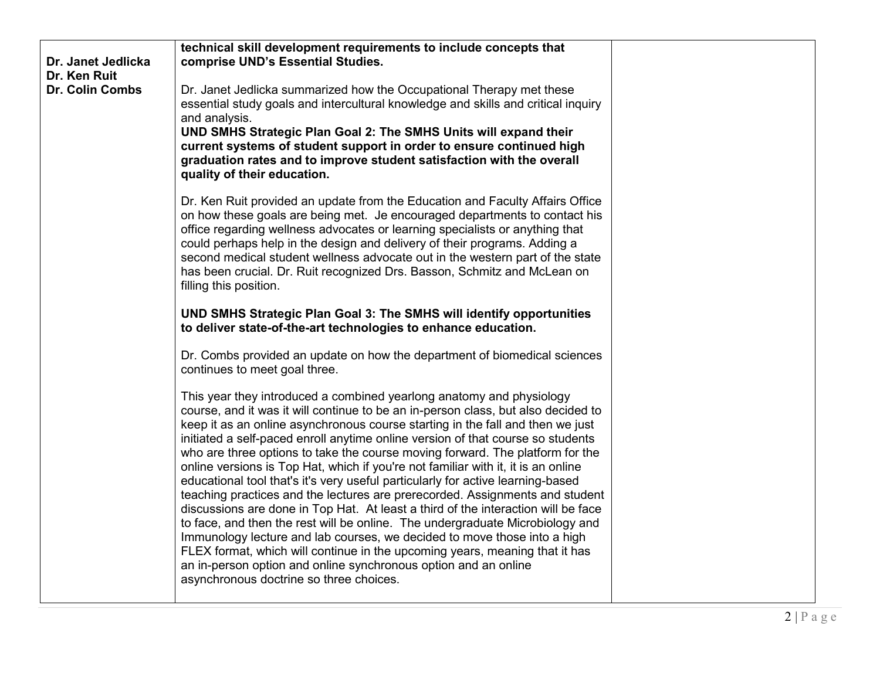| Dr. Janet Jedlicka<br>Dr. Ken Ruit<br>Dr. Colin Combs | technical skill development requirements to include concepts that<br>comprise UND's Essential Studies.<br>Dr. Janet Jedlicka summarized how the Occupational Therapy met these<br>essential study goals and intercultural knowledge and skills and critical inquiry<br>and analysis.<br>UND SMHS Strategic Plan Goal 2: The SMHS Units will expand their<br>current systems of student support in order to ensure continued high<br>graduation rates and to improve student satisfaction with the overall<br>quality of their education.                                                                                                                                                                                                                                                                                                                                                                                                                                                                                                                                                                               |  |
|-------------------------------------------------------|------------------------------------------------------------------------------------------------------------------------------------------------------------------------------------------------------------------------------------------------------------------------------------------------------------------------------------------------------------------------------------------------------------------------------------------------------------------------------------------------------------------------------------------------------------------------------------------------------------------------------------------------------------------------------------------------------------------------------------------------------------------------------------------------------------------------------------------------------------------------------------------------------------------------------------------------------------------------------------------------------------------------------------------------------------------------------------------------------------------------|--|
|                                                       | Dr. Ken Ruit provided an update from the Education and Faculty Affairs Office<br>on how these goals are being met. Je encouraged departments to contact his<br>office regarding wellness advocates or learning specialists or anything that<br>could perhaps help in the design and delivery of their programs. Adding a<br>second medical student wellness advocate out in the western part of the state<br>has been crucial. Dr. Ruit recognized Drs. Basson, Schmitz and McLean on<br>filling this position.                                                                                                                                                                                                                                                                                                                                                                                                                                                                                                                                                                                                        |  |
|                                                       | UND SMHS Strategic Plan Goal 3: The SMHS will identify opportunities<br>to deliver state-of-the-art technologies to enhance education.                                                                                                                                                                                                                                                                                                                                                                                                                                                                                                                                                                                                                                                                                                                                                                                                                                                                                                                                                                                 |  |
|                                                       | Dr. Combs provided an update on how the department of biomedical sciences<br>continues to meet goal three.                                                                                                                                                                                                                                                                                                                                                                                                                                                                                                                                                                                                                                                                                                                                                                                                                                                                                                                                                                                                             |  |
|                                                       | This year they introduced a combined yearlong anatomy and physiology<br>course, and it was it will continue to be an in-person class, but also decided to<br>keep it as an online asynchronous course starting in the fall and then we just<br>initiated a self-paced enroll anytime online version of that course so students<br>who are three options to take the course moving forward. The platform for the<br>online versions is Top Hat, which if you're not familiar with it, it is an online<br>educational tool that's it's very useful particularly for active learning-based<br>teaching practices and the lectures are prerecorded. Assignments and student<br>discussions are done in Top Hat. At least a third of the interaction will be face<br>to face, and then the rest will be online. The undergraduate Microbiology and<br>Immunology lecture and lab courses, we decided to move those into a high<br>FLEX format, which will continue in the upcoming years, meaning that it has<br>an in-person option and online synchronous option and an online<br>asynchronous doctrine so three choices. |  |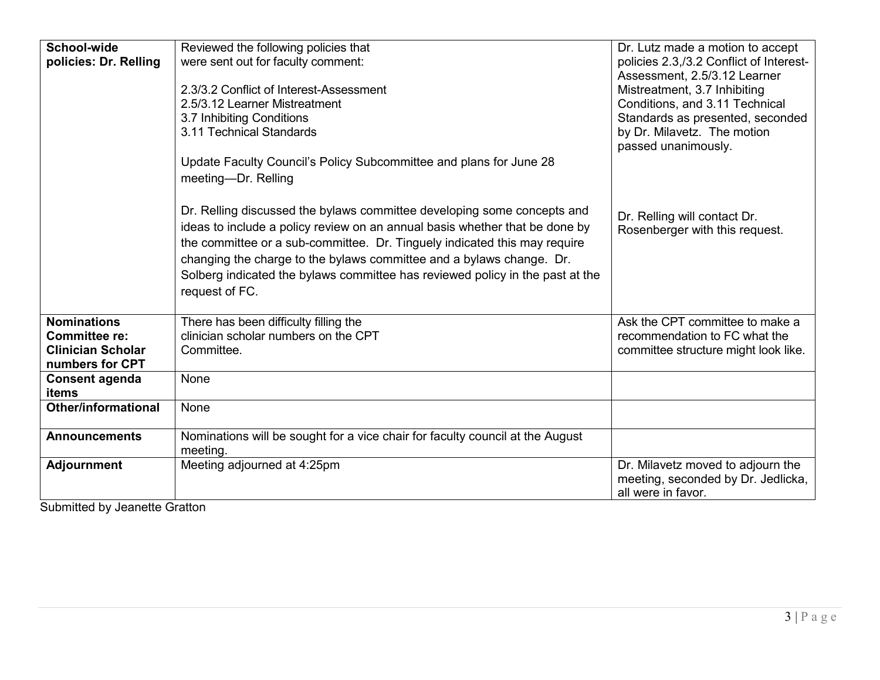| School-wide                | Reviewed the following policies that                                          | Dr. Lutz made a motion to accept        |
|----------------------------|-------------------------------------------------------------------------------|-----------------------------------------|
| policies: Dr. Relling      | were sent out for faculty comment:                                            | policies 2.3,/3.2 Conflict of Interest- |
|                            |                                                                               | Assessment, 2.5/3.12 Learner            |
|                            | 2.3/3.2 Conflict of Interest-Assessment                                       | Mistreatment, 3.7 Inhibiting            |
|                            | 2.5/3.12 Learner Mistreatment                                                 | Conditions, and 3.11 Technical          |
|                            | 3.7 Inhibiting Conditions                                                     | Standards as presented, seconded        |
|                            | 3.11 Technical Standards                                                      | by Dr. Milavetz. The motion             |
|                            |                                                                               | passed unanimously.                     |
|                            | Update Faculty Council's Policy Subcommittee and plans for June 28            |                                         |
|                            | meeting-Dr. Relling                                                           |                                         |
|                            |                                                                               |                                         |
|                            | Dr. Relling discussed the bylaws committee developing some concepts and       |                                         |
|                            | ideas to include a policy review on an annual basis whether that be done by   | Dr. Relling will contact Dr.            |
|                            |                                                                               | Rosenberger with this request.          |
|                            | the committee or a sub-committee. Dr. Tinguely indicated this may require     |                                         |
|                            | changing the charge to the bylaws committee and a bylaws change. Dr.          |                                         |
|                            | Solberg indicated the bylaws committee has reviewed policy in the past at the |                                         |
|                            | request of FC.                                                                |                                         |
|                            |                                                                               |                                         |
| <b>Nominations</b>         | There has been difficulty filling the                                         | Ask the CPT committee to make a         |
| <b>Committee re:</b>       | clinician scholar numbers on the CPT                                          | recommendation to FC what the           |
| <b>Clinician Scholar</b>   | Committee.                                                                    | committee structure might look like.    |
| numbers for CPT            |                                                                               |                                         |
| <b>Consent agenda</b>      | None                                                                          |                                         |
| items                      |                                                                               |                                         |
| <b>Other/informational</b> | <b>None</b>                                                                   |                                         |
|                            |                                                                               |                                         |
| <b>Announcements</b>       | Nominations will be sought for a vice chair for faculty council at the August |                                         |
|                            | meeting.                                                                      |                                         |
| <b>Adjournment</b>         | Meeting adjourned at 4:25pm                                                   | Dr. Milavetz moved to adjourn the       |
|                            |                                                                               | meeting, seconded by Dr. Jedlicka,      |
|                            |                                                                               | all were in favor.                      |

Submitted by Jeanette Gratton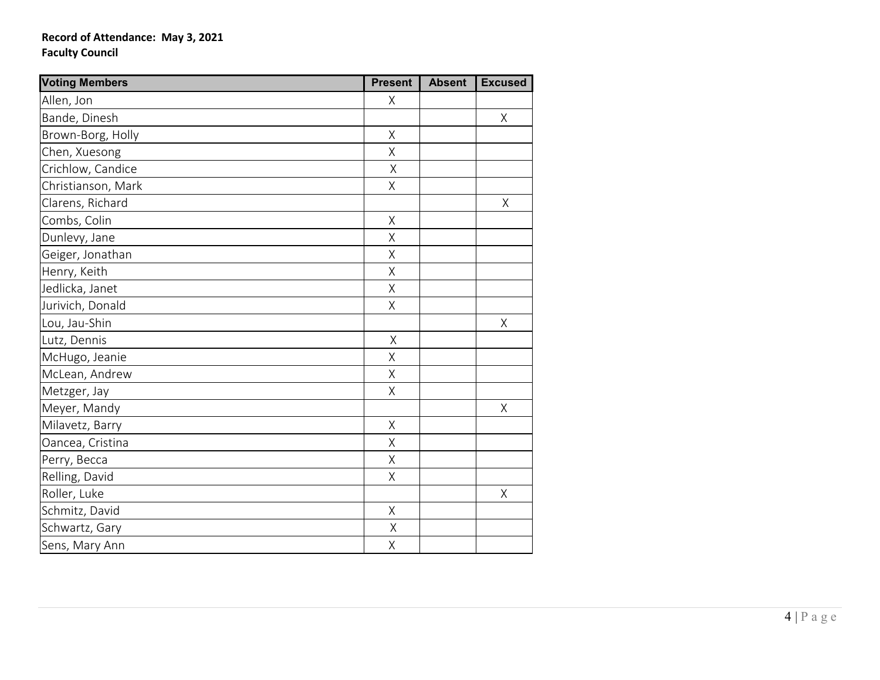## **Record of Attendance: May 3, 2021 Faculty Council**

| <b>Voting Members</b> | <b>Present</b> | <b>Absent</b> | <b>Excused</b> |
|-----------------------|----------------|---------------|----------------|
| Allen, Jon            | X              |               |                |
| Bande, Dinesh         |                |               | $\sf X$        |
| Brown-Borg, Holly     | Χ              |               |                |
| Chen, Xuesong         | $\sf X$        |               |                |
| Crichlow, Candice     | Χ              |               |                |
| Christianson, Mark    | $\mathsf X$    |               |                |
| Clarens, Richard      |                |               | X              |
| Combs, Colin          | $\mathsf X$    |               |                |
| Dunlevy, Jane         | Χ              |               |                |
| Geiger, Jonathan      | Χ              |               |                |
| Henry, Keith          | $\sf X$        |               |                |
| Jedlicka, Janet       | Χ              |               |                |
| Jurivich, Donald      | $\sf X$        |               |                |
| Lou, Jau-Shin         |                |               | Χ              |
| Lutz, Dennis          | $\sf X$        |               |                |
| McHugo, Jeanie        | $\mathsf X$    |               |                |
| McLean, Andrew        | $\sf X$        |               |                |
| Metzger, Jay          | Χ              |               |                |
| Meyer, Mandy          |                |               | Χ              |
| Milavetz, Barry       | $\sf X$        |               |                |
| Oancea, Cristina      | Χ              |               |                |
| Perry, Becca          | $\sf X$        |               |                |
| Relling, David        | Χ              |               |                |
| Roller, Luke          |                |               | $\sf X$        |
| Schmitz, David        | $\mathsf X$    |               |                |
| Schwartz, Gary        | Χ              |               |                |
| Sens, Mary Ann        | Χ              |               |                |